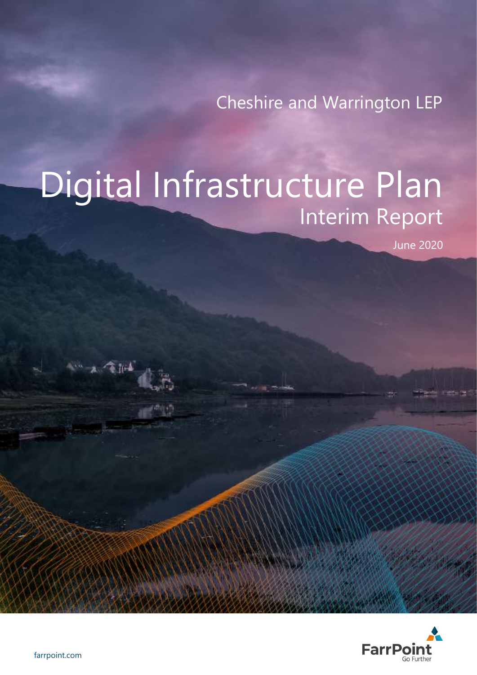Cheshire and Warrington LEP

# Digital Infrastructure Plan Interim Report

June 2020



 $1.78104$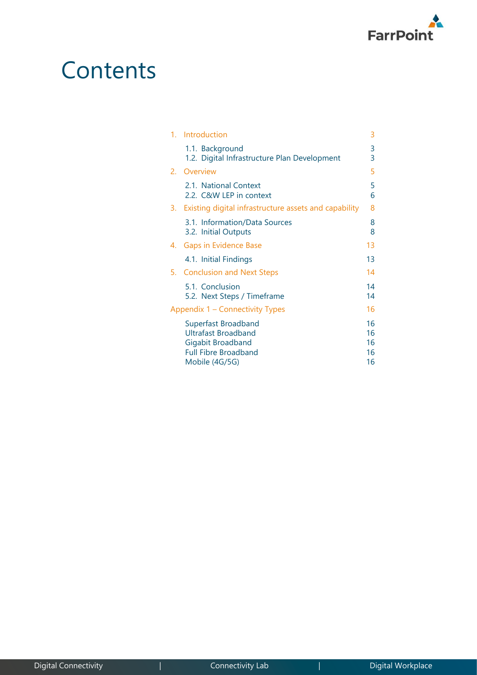

## **Contents**

| $1_{-}$ | Introduction                                                                                                            | 3                          |
|---------|-------------------------------------------------------------------------------------------------------------------------|----------------------------|
|         | 1.1. Background<br>1.2. Digital Infrastructure Plan Development                                                         | 3<br>3                     |
| 2.      | Overview                                                                                                                | 5                          |
|         | 2.1. National Context<br>2.2. C&W LEP in context                                                                        | 5<br>6                     |
| 3.      | Existing digital infrastructure assets and capability                                                                   | 8                          |
|         | 3.1. Information/Data Sources<br>3.2. Initial Outputs                                                                   | 8<br>8                     |
| 4.      | <b>Gaps in Evidence Base</b>                                                                                            | 13                         |
|         | 4.1. Initial Findings                                                                                                   | 13                         |
| 5.      | <b>Conclusion and Next Steps</b>                                                                                        | 14                         |
|         | 5.1. Conclusion<br>5.2. Next Steps / Timeframe                                                                          | 14<br>14                   |
|         | Appendix 1 – Connectivity Types                                                                                         | 16                         |
|         | Superfast Broadband<br><b>Ultrafast Broadband</b><br>Gigabit Broadband<br><b>Full Fibre Broadband</b><br>Mobile (4G/5G) | 16<br>16<br>16<br>16<br>16 |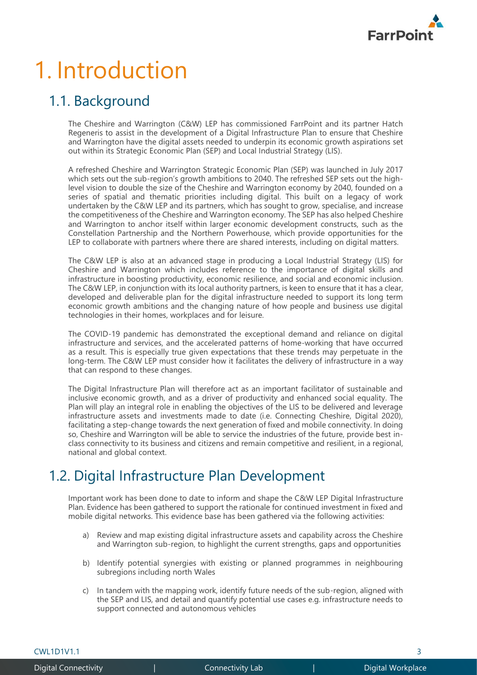

# 1. Introduction

## 1.1. Background

The Cheshire and Warrington (C&W) LEP has commissioned FarrPoint and its partner Hatch Regeneris to assist in the development of a Digital Infrastructure Plan to ensure that Cheshire and Warrington have the digital assets needed to underpin its economic growth aspirations set out within its Strategic Economic Plan (SEP) and Local Industrial Strategy (LIS).

A refreshed Cheshire and Warrington Strategic Economic Plan (SEP) was launched in July 2017 which sets out the sub-region's growth ambitions to 2040. The refreshed SEP sets out the highlevel vision to double the size of the Cheshire and Warrington economy by 2040, founded on a series of spatial and thematic priorities including digital. This built on a legacy of work undertaken by the C&W LEP and its partners, which has sought to grow, specialise, and increase the competitiveness of the Cheshire and Warrington economy. The SEP has also helped Cheshire and Warrington to anchor itself within larger economic development constructs, such as the Constellation Partnership and the Northern Powerhouse, which provide opportunities for the LEP to collaborate with partners where there are shared interests, including on digital matters.

The C&W LEP is also at an advanced stage in producing a Local Industrial Strategy (LIS) for Cheshire and Warrington which includes reference to the importance of digital skills and infrastructure in boosting productivity, economic resilience, and social and economic inclusion. The C&W LEP, in conjunction with its local authority partners, is keen to ensure that it has a clear, developed and deliverable plan for the digital infrastructure needed to support its long term economic growth ambitions and the changing nature of how people and business use digital technologies in their homes, workplaces and for leisure.

The COVID-19 pandemic has demonstrated the exceptional demand and reliance on digital infrastructure and services, and the accelerated patterns of home-working that have occurred as a result. This is especially true given expectations that these trends may perpetuate in the long-term. The C&W LEP must consider how it facilitates the delivery of infrastructure in a way that can respond to these changes.

The Digital Infrastructure Plan will therefore act as an important facilitator of sustainable and inclusive economic growth, and as a driver of productivity and enhanced social equality. The Plan will play an integral role in enabling the objectives of the LIS to be delivered and leverage infrastructure assets and investments made to date (i.e. Connecting Cheshire, Digital 2020), facilitating a step-change towards the next generation of fixed and mobile connectivity. In doing so, Cheshire and Warrington will be able to service the industries of the future, provide best inclass connectivity to its business and citizens and remain competitive and resilient, in a regional, national and global context.

## 1.2. Digital Infrastructure Plan Development

Important work has been done to date to inform and shape the C&W LEP Digital Infrastructure Plan. Evidence has been gathered to support the rationale for continued investment in fixed and mobile digital networks. This evidence base has been gathered via the following activities:

- a) Review and map existing digital infrastructure assets and capability across the Cheshire and Warrington sub-region, to highlight the current strengths, gaps and opportunities
- b) Identify potential synergies with existing or planned programmes in neighbouring subregions including north Wales
- c) In tandem with the mapping work, identify future needs of the sub-region, aligned with the SEP and LIS, and detail and quantify potential use cases e.g. infrastructure needs to support connected and autonomous vehicles

 $\text{CWL1D1V1.1}$  3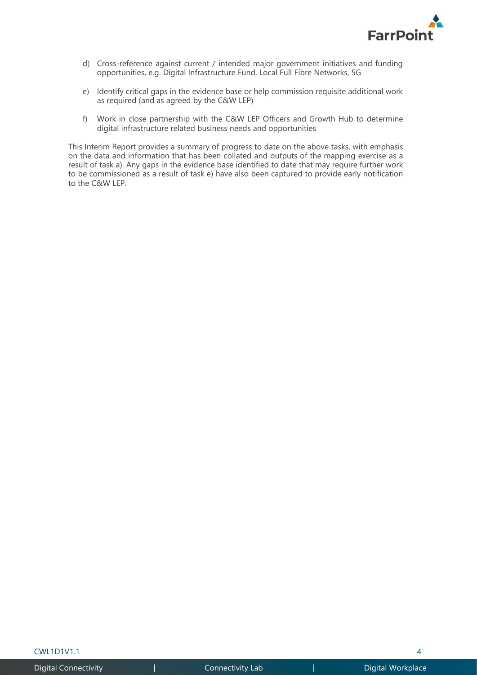

- d) Cross-reference against current / intended major government initiatives and funding opportunities, e.g. Digital Infrastructure Fund, Local Full Fibre Networks, 5G
- e) Identify critical gaps in the evidence base or help commission requisite additional work as required (and as agreed by the C&W LEP)
- f) Work in close partnership with the C&W LEP Officers and Growth Hub to determine digital infrastructure related business needs and opportunities

This Interim Report provides a summary of progress to date on the above tasks, with emphasis on the data and information that has been collated and outputs of the mapping exercise as a result of task a). Any gaps in the evidence base identified to date that may require further work to be commissioned as a result of task e) have also been captured to provide early notification to the C&W LEP.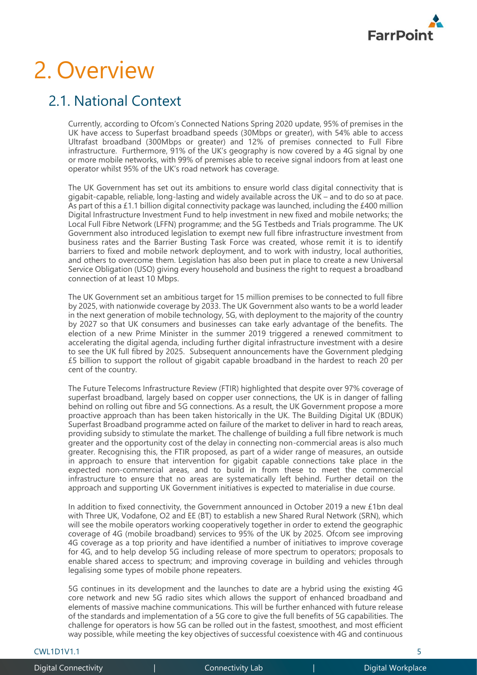

## 2. Overview

### 2.1. National Context

Currently, according to Ofcom's Connected Nations Spring 2020 update, 95% of premises in the UK have access to Superfast broadband speeds (30Mbps or greater), with 54% able to access Ultrafast broadband (300Mbps or greater) and 12% of premises connected to Full Fibre infrastructure. Furthermore, 91% of the UK's geography is now covered by a 4G signal by one or more mobile networks, with 99% of premises able to receive signal indoors from at least one operator whilst 95% of the UK's road network has coverage.

The UK Government has set out its ambitions to ensure world class digital connectivity that is gigabit-capable, reliable, long-lasting and widely available across the  $U\breve{K}$  – and to do so at pace. As part of this a £1.1 billion digital connectivity package was launched, including the £400 million Digital Infrastructure Investment Fund to help investment in new fixed and mobile networks; the Local Full Fibre Network (LFFN) programme; and the 5G Testbeds and Trials programme. The UK Government also introduced legislation to exempt new full fibre infrastructure investment from business rates and the Barrier Busting Task Force was created, whose remit it is to identify barriers to fixed and mobile network deployment, and to work with industry, local authorities, and others to overcome them. Legislation has also been put in place to create a new Universal Service Obligation (USO) giving every household and business the right to request a broadband connection of at least 10 Mbps.

The UK Government set an ambitious target for 15 million premises to be connected to full fibre by 2025, with nationwide coverage by 2033. The UK Government also wants to be a world leader in the next generation of mobile technology, 5G, with deployment to the majority of the country by 2027 so that UK consumers and businesses can take early advantage of the benefits. The election of a new Prime Minister in the summer 2019 triggered a renewed commitment to accelerating the digital agenda, including further digital infrastructure investment with a desire to see the UK full fibred by 2025. Subsequent announcements have the Government pledging £5 billion to support the rollout of gigabit capable broadband in the hardest to reach 20 per cent of the country.

The Future Telecoms Infrastructure Review (FTIR) highlighted that despite over 97% coverage of superfast broadband, largely based on copper user connections, the UK is in danger of falling behind on rolling out fibre and 5G connections. As a result, the UK Government propose a more proactive approach than has been taken historically in the UK. The Building Digital UK (BDUK) Superfast Broadband programme acted on failure of the market to deliver in hard to reach areas, providing subsidy to stimulate the market. The challenge of building a full fibre network is much greater and the opportunity cost of the delay in connecting non-commercial areas is also much greater. Recognising this, the FTIR proposed, as part of a wider range of measures, an outside in approach to ensure that intervention for gigabit capable connections take place in the expected non-commercial areas, and to build in from these to meet the commercial infrastructure to ensure that no areas are systematically left behind. Further detail on the approach and supporting UK Government initiatives is expected to materialise in due course.

In addition to fixed connectivity, the Government announced in October 2019 a new £1bn deal with Three UK, Vodafone, O2 and EE (BT) to establish a new Shared Rural Network (SRN), which will see the mobile operators working cooperatively together in order to extend the geographic coverage of 4G (mobile broadband) services to 95% of the UK by 2025. Ofcom see improving 4G coverage as a top priority and have identified a number of initiatives to improve coverage for 4G, and to help develop 5G including release of more spectrum to operators; proposals to enable shared access to spectrum; and improving coverage in building and vehicles through legalising some types of mobile phone repeaters.

5G continues in its development and the launches to date are a hybrid using the existing 4G core network and new 5G radio sites which allows the support of enhanced broadband and elements of massive machine communications. This will be further enhanced with future release of the standards and implementation of a 5G core to give the full benefits of 5G capabilities. The challenge for operators is how 5G can be rolled out in the fastest, smoothest, and most efficient way possible, while meeting the key objectives of successful coexistence with 4G and continuous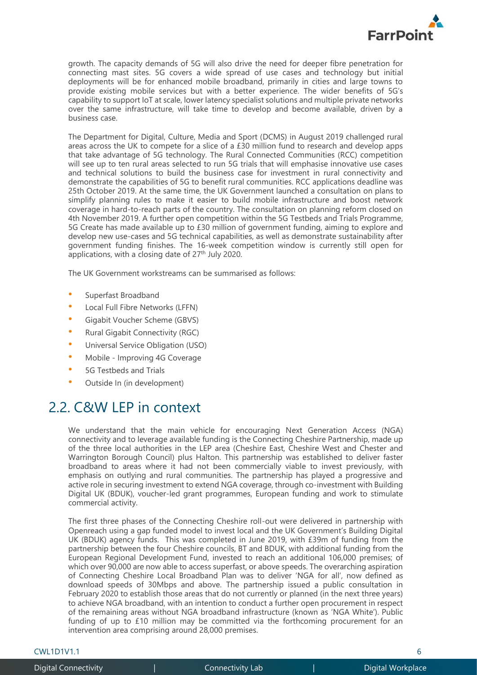

growth. The capacity demands of 5G will also drive the need for deeper fibre penetration for connecting mast sites. 5G covers a wide spread of use cases and technology but initial deployments will be for enhanced mobile broadband, primarily in cities and large towns to provide existing mobile services but with a better experience. The wider benefits of 5G's capability to support IoT at scale, lower latency specialist solutions and multiple private networks over the same infrastructure, will take time to develop and become available, driven by a business case.

The Department for Digital, Culture, Media and Sport (DCMS) in August 2019 challenged rural areas across the UK to compete for a slice of a £30 million fund to research and develop apps that take advantage of 5G technology. The Rural Connected Communities (RCC) competition will see up to ten rural areas selected to run 5G trials that will emphasise innovative use cases and technical solutions to build the business case for investment in rural connectivity and demonstrate the capabilities of 5G to benefit rural communities. RCC applications deadline was 25th October 2019. At the same time, the UK Government launched a consultation on plans to simplify planning rules to make it easier to build mobile infrastructure and boost network coverage in hard-to-reach parts of the country. The consultation on planning reform closed on 4th November 2019. A further open competition within the 5G Testbeds and Trials Programme, 5G Create has made available up to £30 million of government funding, aiming to explore and develop new use-cases and 5G technical capabilities, as well as demonstrate sustainability after government funding finishes. The 16-week competition window is currently still open for applications, with a closing date of  $27<sup>th</sup>$  July 2020.

The UK Government workstreams can be summarised as follows:

- Superfast Broadband
- Local Full Fibre Networks (LFFN)
- Gigabit Voucher Scheme (GBVS)
- Rural Gigabit Connectivity (RGC)
- Universal Service Obligation (USO)
- Mobile Improving 4G Coverage
- 5G Testbeds and Trials
- Outside In (in development)

### 2.2. C&W LEP in context

We understand that the main vehicle for encouraging Next Generation Access (NGA) connectivity and to leverage available funding is the Connecting Cheshire Partnership, made up of the three local authorities in the LEP area (Cheshire East, Cheshire West and Chester and Warrington Borough Council) plus Halton. This partnership was established to deliver faster broadband to areas where it had not been commercially viable to invest previously, with emphasis on outlying and rural communities. The partnership has played a progressive and active role in securing investment to extend NGA coverage, through co-investment with Building Digital UK (BDUK), voucher-led grant programmes, European funding and work to stimulate commercial activity.

The first three phases of the Connecting Cheshire roll-out were delivered in partnership with Openreach using a gap funded model to invest local and the UK Government's Building Digital UK (BDUK) agency funds. This was completed in June 2019, with £39m of funding from the partnership between the four Cheshire councils, BT and BDUK, with additional funding from the European Regional Development Fund, invested to reach an additional 106,000 premises; of which over 90,000 are now able to access superfast, or above speeds. The overarching aspiration of Connecting Cheshire Local Broadband Plan was to deliver 'NGA for all', now defined as download speeds of 30Mbps and above. The partnership issued a public consultation in February 2020 to establish those areas that do not currently or planned (in the next three years) to achieve NGA broadband, with an intention to conduct a further open procurement in respect of the remaining areas without NGA broadband infrastructure (known as 'NGA White'). Public funding of up to £10 million may be committed via the forthcoming procurement for an intervention area comprising around 28,000 premises.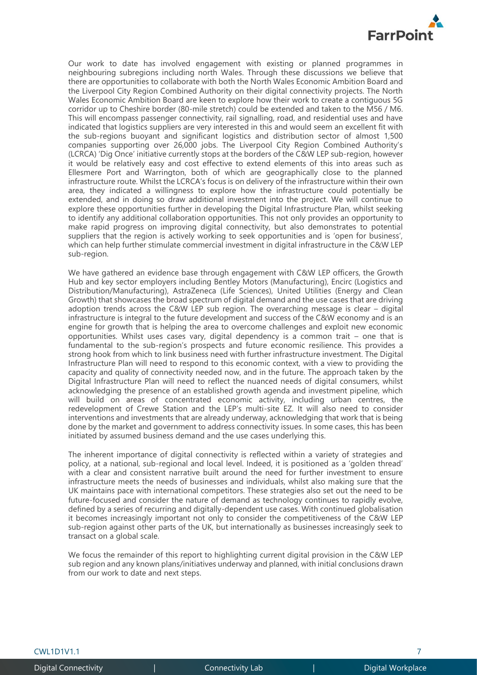

Our work to date has involved engagement with existing or planned programmes in neighbouring subregions including north Wales. Through these discussions we believe that there are opportunities to collaborate with both the North Wales Economic Ambition Board and the Liverpool City Region Combined Authority on their digital connectivity projects. The North Wales Economic Ambition Board are keen to explore how their work to create a contiguous 5G corridor up to Cheshire border (80-mile stretch) could be extended and taken to the M56 / M6. This will encompass passenger connectivity, rail signalling, road, and residential uses and have indicated that logistics suppliers are very interested in this and would seem an excellent fit with the sub-regions buoyant and significant logistics and distribution sector of almost 1,500 companies supporting over 26,000 jobs. The Liverpool City Region Combined Authority's (LCRCA) 'Dig Once' initiative currently stops at the borders of the C&W LEP sub-region, however it would be relatively easy and cost effective to extend elements of this into areas such as Ellesmere Port and Warrington, both of which are geographically close to the planned infrastructure route. Whilst the LCRCA's focus is on delivery of the infrastructure within their own area, they indicated a willingness to explore how the infrastructure could potentially be extended, and in doing so draw additional investment into the project. We will continue to explore these opportunities further in developing the Digital Infrastructure Plan, whilst seeking to identify any additional collaboration opportunities. This not only provides an opportunity to make rapid progress on improving digital connectivity, but also demonstrates to potential suppliers that the region is actively working to seek opportunities and is 'open for business', which can help further stimulate commercial investment in digital infrastructure in the C&W LEP sub-region.

We have gathered an evidence base through engagement with C&W LEP officers, the Growth Hub and key sector employers including Bentley Motors (Manufacturing), Encirc (Logistics and Distribution/Manufacturing), AstraZeneca (Life Sciences), United Utilities (Energy and Clean Growth) that showcases the broad spectrum of digital demand and the use cases that are driving adoption trends across the C&W LEP sub region. The overarching message is clear – digital infrastructure is integral to the future development and success of the C&W economy and is an engine for growth that is helping the area to overcome challenges and exploit new economic opportunities. Whilst uses cases vary, digital dependency is a common trait – one that is fundamental to the sub-region's prospects and future economic resilience. This provides a strong hook from which to link business need with further infrastructure investment. The Digital Infrastructure Plan will need to respond to this economic context, with a view to providing the capacity and quality of connectivity needed now, and in the future. The approach taken by the Digital Infrastructure Plan will need to reflect the nuanced needs of digital consumers, whilst acknowledging the presence of an established growth agenda and investment pipeline, which will build on areas of concentrated economic activity, including urban centres, the redevelopment of Crewe Station and the LEP's multi-site EZ. It will also need to consider interventions and investments that are already underway, acknowledging that work that is being done by the market and government to address connectivity issues. In some cases, this has been initiated by assumed business demand and the use cases underlying this.

The inherent importance of digital connectivity is reflected within a variety of strategies and policy, at a national, sub-regional and local level. Indeed, it is positioned as a 'golden thread' with a clear and consistent narrative built around the need for further investment to ensure infrastructure meets the needs of businesses and individuals, whilst also making sure that the UK maintains pace with international competitors. These strategies also set out the need to be future-focused and consider the nature of demand as technology continues to rapidly evolve, defined by a series of recurring and digitally-dependent use cases. With continued globalisation it becomes increasingly important not only to consider the competitiveness of the C&W LEP sub-region against other parts of the UK, but internationally as businesses increasingly seek to transact on a global scale.

We focus the remainder of this report to highlighting current digital provision in the C&W LEP sub region and any known plans/initiatives underway and planned, with initial conclusions drawn from our work to date and next steps.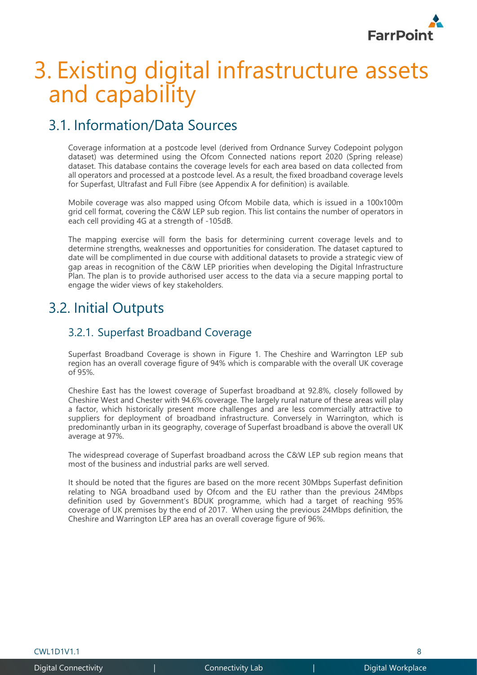

## 3. Existing digital infrastructure assets and capability

## 3.1. Information/Data Sources

Coverage information at a postcode level (derived from Ordnance Survey Codepoint polygon dataset) was determined using the Ofcom Connected nations report 2020 (Spring release) dataset. This database contains the coverage levels for each area based on data collected from all operators and processed at a postcode level. As a result, the fixed broadband coverage levels for Superfast, Ultrafast and Full Fibre (see Appendix A for definition) is available.

Mobile coverage was also mapped using Ofcom Mobile data, which is issued in a 100x100m grid cell format, covering the C&W LEP sub region. This list contains the number of operators in each cell providing 4G at a strength of -105dB.

The mapping exercise will form the basis for determining current coverage levels and to determine strengths, weaknesses and opportunities for consideration. The dataset captured to date will be complimented in due course with additional datasets to provide a strategic view of gap areas in recognition of the C&W LEP priorities when developing the Digital Infrastructure Plan. The plan is to provide authorised user access to the data via a secure mapping portal to engage the wider views of key stakeholders.

### 3.2. Initial Outputs

### 3.2.1. Superfast Broadband Coverage

Superfast Broadband Coverage is shown in [Figure 1.](#page-8-0) The Cheshire and Warrington LEP sub region has an overall coverage figure of 94% which is comparable with the overall UK coverage of 95%.

Cheshire East has the lowest coverage of Superfast broadband at 92.8%, closely followed by Cheshire West and Chester with 94.6% coverage. The largely rural nature of these areas will play a factor, which historically present more challenges and are less commercially attractive to suppliers for deployment of broadband infrastructure. Conversely in Warrington, which is predominantly urban in its geography, coverage of Superfast broadband is above the overall UK average at 97%.

The widespread coverage of Superfast broadband across the C&W LEP sub region means that most of the business and industrial parks are well served.

It should be noted that the figures are based on the more recent 30Mbps Superfast definition relating to NGA broadband used by Ofcom and the EU rather than the previous 24Mbps definition used by Government's BDUK programme, which had a target of reaching 95% coverage of UK premises by the end of 2017. When using the previous 24Mbps definition, the Cheshire and Warrington LEP area has an overall coverage figure of 96%.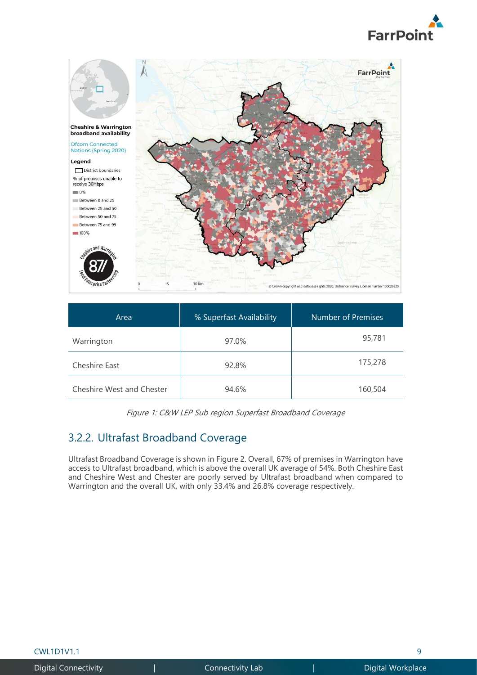



| Area                      | % Superfast Availability | Number of Premises |
|---------------------------|--------------------------|--------------------|
| Warrington                | 97.0%                    | 95,781             |
| Cheshire East             | 92.8%                    | 175,278            |
| Cheshire West and Chester | 94.6%                    | 160,504            |

<span id="page-8-0"></span>

|  |  |  | Figure 1: C&W LEP Sub region Superfast Broadband Coverage |  |
|--|--|--|-----------------------------------------------------------|--|
|  |  |  |                                                           |  |

### 3.2.2. Ultrafast Broadband Coverage

Ultrafast Broadband Coverage is shown in [Figure 2.](#page-9-0) Overall, 67% of premises in Warrington have access to Ultrafast broadband, which is above the overall UK average of 54%. Both Cheshire East and Cheshire West and Chester are poorly served by Ultrafast broadband when compared to Warrington and the overall UK, with only 33.4% and 26.8% coverage respectively.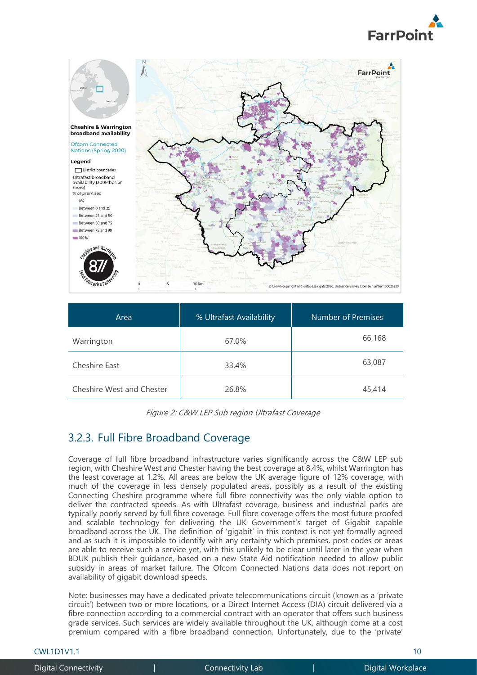



| Area                      | % Ultrafast Availability | Number of Premises |
|---------------------------|--------------------------|--------------------|
| Warrington                | 67.0%                    | 66,168             |
| Cheshire East             | 33.4%                    | 63,087             |
| Cheshire West and Chester | 26.8%                    | 45,414             |

### <span id="page-9-0"></span>3.2.3. Full Fibre Broadband Coverage

Coverage of full fibre broadband infrastructure varies significantly across the C&W LEP sub region, with Cheshire West and Chester having the best coverage at 8.4%, whilst Warrington has the least coverage at 1.2%. All areas are below the UK average figure of 12% coverage, with much of the coverage in less densely populated areas, possibly as a result of the existing Connecting Cheshire programme where full fibre connectivity was the only viable option to deliver the contracted speeds. As with Ultrafast coverage, business and industrial parks are typically poorly served by full fibre coverage. Full fibre coverage offers the most future proofed and scalable technology for delivering the UK Government's target of Gigabit capable broadband across the UK. The definition of 'gigabit' in this context is not yet formally agreed and as such it is impossible to identify with any certainty which premises, post codes or areas are able to receive such a service yet, with this unlikely to be clear until later in the year when BDUK publish their guidance, based on a new State Aid notification needed to allow public subsidy in areas of market failure. The Ofcom Connected Nations data does not report on availability of gigabit download speeds.

Note: businesses may have a dedicated private telecommunications circuit (known as a 'private circuit') between two or more locations, or a Direct Internet Access (DIA) circuit delivered via a fibre connection according to a commercial contract with an operator that offers such business grade services. Such services are widely available throughout the UK, although come at a cost premium compared with a fibre broadband connection. Unfortunately, due to the 'private'

cwL1D1V1.1 10 and 10 and 10 and 10 and 10 and 10 and 10 and 10 and 10 and 10 and 10 and 10 and 10 and 10 and 1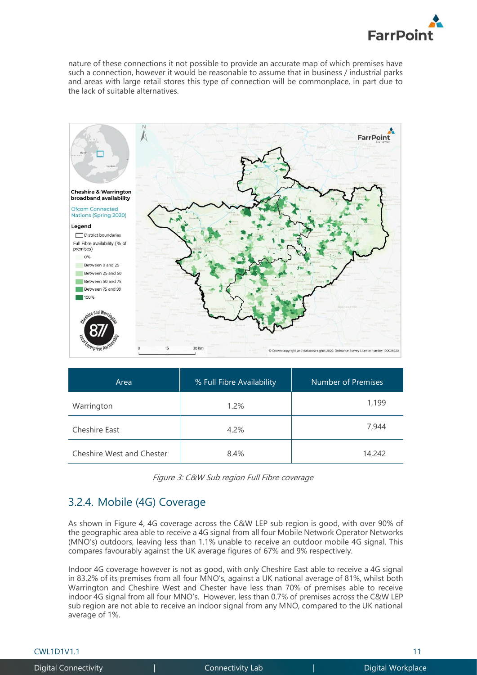

nature of these connections it not possible to provide an accurate map of which premises have such a connection, however it would be reasonable to assume that in business / industrial parks and areas with large retail stores this type of connection will be commonplace, in part due to the lack of suitable alternatives.



| Area                      | % Full Fibre Availability | Number of Premises |
|---------------------------|---------------------------|--------------------|
| Warrington                | 1.2%                      | 1,199              |
| Cheshire East             | 4.2%                      | 7,944              |
| Cheshire West and Chester | 8.4%                      | 14,242             |

Figure 3: C&W Sub region Full Fibre coverage

### 3.2.4. Mobile (4G) Coverage

As shown in [Figure 4,](#page-11-0) 4G coverage across the C&W LEP sub region is good, with over 90% of the geographic area able to receive a 4G signal from all four Mobile Network Operator Networks (MNO's) outdoors, leaving less than 1.1% unable to receive an outdoor mobile 4G signal. This compares favourably against the UK average figures of 67% and 9% respectively.

Indoor 4G coverage however is not as good, with only Cheshire East able to receive a 4G signal in 83.2% of its premises from all four MNO's, against a UK national average of 81%, whilst both Warrington and Cheshire West and Chester have less than 70% of premises able to receive indoor 4G signal from all four MNO's. However, less than 0.7% of premises across the C&W LEP sub region are not able to receive an indoor signal from any MNO, compared to the UK national average of 1%.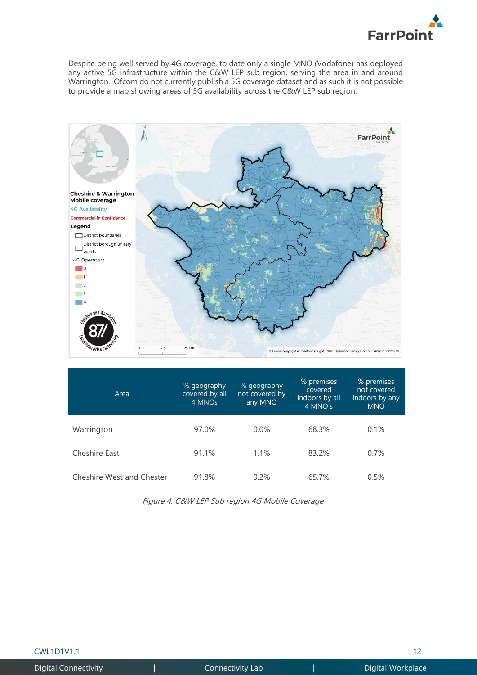

Despite being well served by 4G coverage, to date only a single MNO (Vodafone) has deployed any active 5G infrastructure within the C&W LEP sub region, serving the area in and around Warrington. Ofcom do not currently publish a 5G coverage dataset and as such it is not possible to provide a map showing areas of 5G availability across the C&W LEP sub region.



| Area                      | % geography<br>covered by all<br>4 MNOs | % geography<br>not covered by<br>any MNO | % premises<br>covered<br>indoors by all<br>4 MNO's | % premises<br>not covered<br>indoors by any<br><b>MNO</b> |
|---------------------------|-----------------------------------------|------------------------------------------|----------------------------------------------------|-----------------------------------------------------------|
| Warrington                | 97.0%                                   | $0.0\%$                                  | 68.3%                                              | 0.1%                                                      |
| Cheshire East             | 91.1%                                   | 1.1%                                     | 83.2%                                              | 0.7%                                                      |
| Cheshire West and Chester | 91.8%                                   | 0.2%                                     | 65.7%                                              | 0.5%                                                      |

<span id="page-11-0"></span>Figure 4: C&W LEP Sub region 4G Mobile Coverage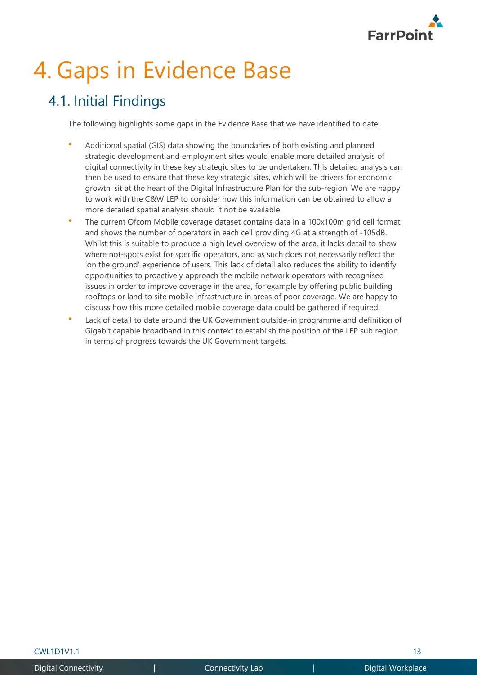

# 4. Gaps in Evidence Base

## 4.1. Initial Findings

The following highlights some gaps in the Evidence Base that we have identified to date:

- Additional spatial (GIS) data showing the boundaries of both existing and planned strategic development and employment sites would enable more detailed analysis of digital connectivity in these key strategic sites to be undertaken. This detailed analysis can then be used to ensure that these key strategic sites, which will be drivers for economic growth, sit at the heart of the Digital Infrastructure Plan for the sub-region. We are happy to work with the C&W LEP to consider how this information can be obtained to allow a more detailed spatial analysis should it not be available.
- The current Ofcom Mobile coverage dataset contains data in a 100x100m grid cell format and shows the number of operators in each cell providing 4G at a strength of -105dB. Whilst this is suitable to produce a high level overview of the area, it lacks detail to show where not-spots exist for specific operators, and as such does not necessarily reflect the 'on the ground' experience of users. This lack of detail also reduces the ability to identify opportunities to proactively approach the mobile network operators with recognised issues in order to improve coverage in the area, for example by offering public building rooftops or land to site mobile infrastructure in areas of poor coverage. We are happy to discuss how this more detailed mobile coverage data could be gathered if required.
- Lack of detail to date around the UK Government outside-in programme and definition of Gigabit capable broadband in this context to establish the position of the LEP sub region in terms of progress towards the UK Government targets.

 $\text{CWL1D1V1.1}$  and  $\text{TWL1D1V1.1}$  and  $\text{TWL1D1V1.1}$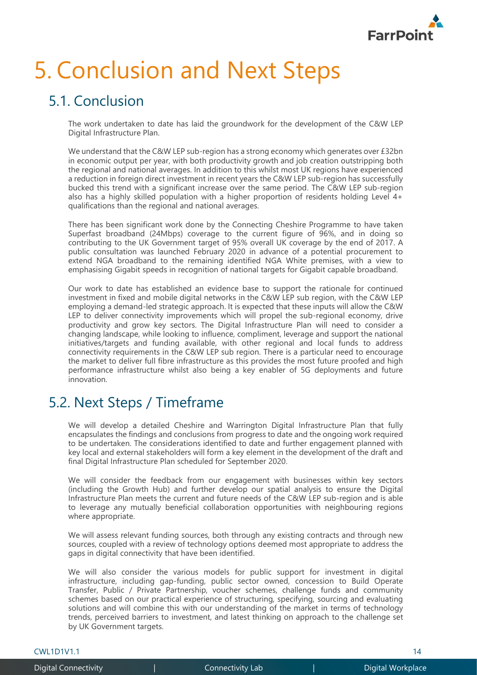

# 5. Conclusion and Next Steps

## 5.1. Conclusion

The work undertaken to date has laid the groundwork for the development of the C&W LEP Digital Infrastructure Plan.

We understand that the C&W LEP sub-region has a strong economy which generates over £32bn in economic output per year, with both productivity growth and job creation outstripping both the regional and national averages. In addition to this whilst most UK regions have experienced a reduction in foreign direct investment in recent years the C&W LEP sub-region has successfully bucked this trend with a significant increase over the same period. The C&W LEP sub-region also has a highly skilled population with a higher proportion of residents holding Level 4+ qualifications than the regional and national averages.

There has been significant work done by the Connecting Cheshire Programme to have taken Superfast broadband (24Mbps) coverage to the current figure of 96%, and in doing so contributing to the UK Government target of 95% overall UK coverage by the end of 2017. A public consultation was launched February 2020 in advance of a potential procurement to extend NGA broadband to the remaining identified NGA White premises, with a view to emphasising Gigabit speeds in recognition of national targets for Gigabit capable broadband.

Our work to date has established an evidence base to support the rationale for continued investment in fixed and mobile digital networks in the C&W LEP sub region, with the C&W LEP employing a demand-led strategic approach. It is expected that these inputs will allow the C&W LEP to deliver connectivity improvements which will propel the sub-regional economy, drive productivity and grow key sectors. The Digital Infrastructure Plan will need to consider a changing landscape, while looking to influence, compliment, leverage and support the national initiatives/targets and funding available, with other regional and local funds to address connectivity requirements in the C&W LEP sub region. There is a particular need to encourage the market to deliver full fibre infrastructure as this provides the most future proofed and high performance infrastructure whilst also being a key enabler of 5G deployments and future innovation.

## 5.2. Next Steps / Timeframe

We will develop a detailed Cheshire and Warrington Digital Infrastructure Plan that fully encapsulates the findings and conclusions from progress to date and the ongoing work required to be undertaken. The considerations identified to date and further engagement planned with key local and external stakeholders will form a key element in the development of the draft and final Digital Infrastructure Plan scheduled for September 2020.

We will consider the feedback from our engagement with businesses within key sectors (including the Growth Hub) and further develop our spatial analysis to ensure the Digital Infrastructure Plan meets the current and future needs of the C&W LEP sub-region and is able to leverage any mutually beneficial collaboration opportunities with neighbouring regions where appropriate.

We will assess relevant funding sources, both through any existing contracts and through new sources, coupled with a review of technology options deemed most appropriate to address the gaps in digital connectivity that have been identified.

We will also consider the various models for public support for investment in digital infrastructure, including gap-funding, public sector owned, concession to Build Operate Transfer, Public / Private Partnership, voucher schemes, challenge funds and community schemes based on our practical experience of structuring, specifying, sourcing and evaluating solutions and will combine this with our understanding of the market in terms of technology trends, perceived barriers to investment, and latest thinking on approach to the challenge set by UK Government targets.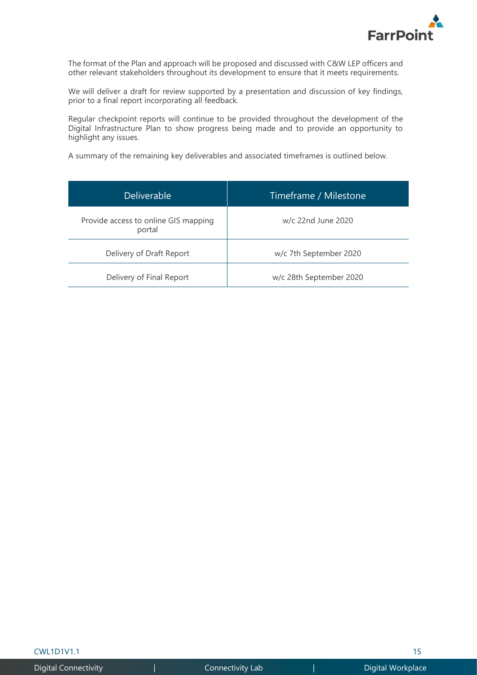

The format of the Plan and approach will be proposed and discussed with C&W LEP officers and other relevant stakeholders throughout its development to ensure that it meets requirements.

We will deliver a draft for review supported by a presentation and discussion of key findings, prior to a final report incorporating all feedback.

Regular checkpoint reports will continue to be provided throughout the development of the Digital Infrastructure Plan to show progress being made and to provide an opportunity to highlight any issues.

A summary of the remaining key deliverables and associated timeframes is outlined below.

| <b>Deliverable</b>                             | Timeframe / Milestone   |
|------------------------------------------------|-------------------------|
| Provide access to online GIS mapping<br>portal | w/c 22nd June 2020      |
| Delivery of Draft Report                       | w/c 7th September 2020  |
| Delivery of Final Report                       | w/c 28th September 2020 |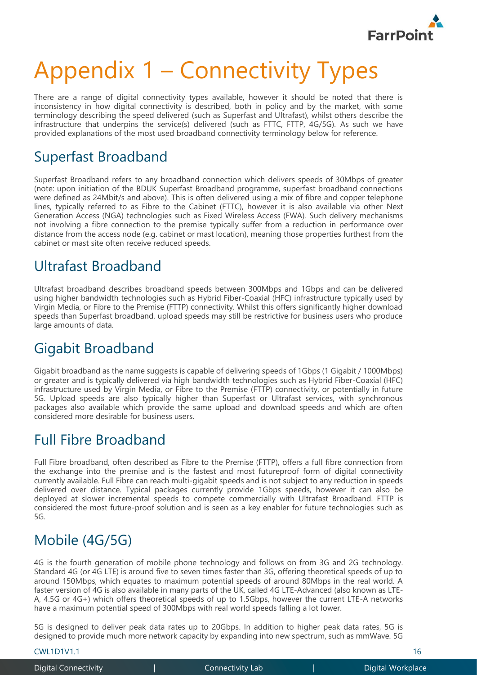

# Appendix 1 – Connectivity Types

There are a range of digital connectivity types available, however it should be noted that there is inconsistency in how digital connectivity is described, both in policy and by the market, with some terminology describing the speed delivered (such as Superfast and Ultrafast), whilst others describe the infrastructure that underpins the service(s) delivered (such as FTTC, FTTP, 4G/5G). As such we have provided explanations of the most used broadband connectivity terminology below for reference.

## Superfast Broadband

Superfast Broadband refers to any broadband connection which delivers speeds of 30Mbps of greater (note: upon initiation of the BDUK Superfast Broadband programme, superfast broadband connections were defined as 24Mbit/s and above). This is often delivered using a mix of fibre and copper telephone lines, typically referred to as Fibre to the Cabinet (FTTC), however it is also available via other Next Generation Access (NGA) technologies such as Fixed Wireless Access (FWA). Such delivery mechanisms not involving a fibre connection to the premise typically suffer from a reduction in performance over distance from the access node (e.g. cabinet or mast location), meaning those properties furthest from the cabinet or mast site often receive reduced speeds.

## Ultrafast Broadband

Ultrafast broadband describes broadband speeds between 300Mbps and 1Gbps and can be delivered using higher bandwidth technologies such as Hybrid Fiber-Coaxial (HFC) infrastructure typically used by Virgin Media, or Fibre to the Premise (FTTP) connectivity. Whilst this offers significantly higher download speeds than Superfast broadband, upload speeds may still be restrictive for business users who produce large amounts of data.

## Gigabit Broadband

Gigabit broadband as the name suggests is capable of delivering speeds of 1Gbps (1 Gigabit / 1000Mbps) or greater and is typically delivered via high bandwidth technologies such as Hybrid Fiber-Coaxial (HFC) infrastructure used by Virgin Media, or Fibre to the Premise (FTTP) connectivity, or potentially in future 5G. Upload speeds are also typically higher than Superfast or Ultrafast services, with synchronous packages also available which provide the same upload and download speeds and which are often considered more desirable for business users.

## Full Fibre Broadband

Full Fibre broadband, often described as Fibre to the Premise (FTTP), offers a full fibre connection from the exchange into the premise and is the fastest and most futureproof form of digital connectivity currently available. Full Fibre can reach multi-gigabit speeds and is not subject to any reduction in speeds delivered over distance. Typical packages currently provide 1Gbps speeds, however it can also be deployed at slower incremental speeds to compete commercially with Ultrafast Broadband. FTTP is considered the most future-proof solution and is seen as a key enabler for future technologies such as 5G.

## Mobile (4G/5G)

4G is the fourth generation of mobile phone technology and follows on from 3G and 2G technology. Standard 4G (or 4G LTE) is around five to seven times faster than 3G, offering theoretical speeds of up to around 150Mbps, which equates to maximum potential speeds of around 80Mbps in the real world. A faster version of 4G is also available in many parts of the UK, called 4G LTE-Advanced (also known as LTE-A, 4.5G or 4G+) which offers theoretical speeds of up to 1.5Gbps, however the current LTE-A networks have a maximum potential speed of 300Mbps with real world speeds falling a lot lower.

5G is designed to deliver peak data rates up to 20Gbps. In addition to higher peak data rates, 5G is designed to provide much more network capacity by expanding into new spectrum, such as mmWave. 5G

CWL1D1V1.1 16

Digital Connectivity | Connectivity Lab | Digital Workplace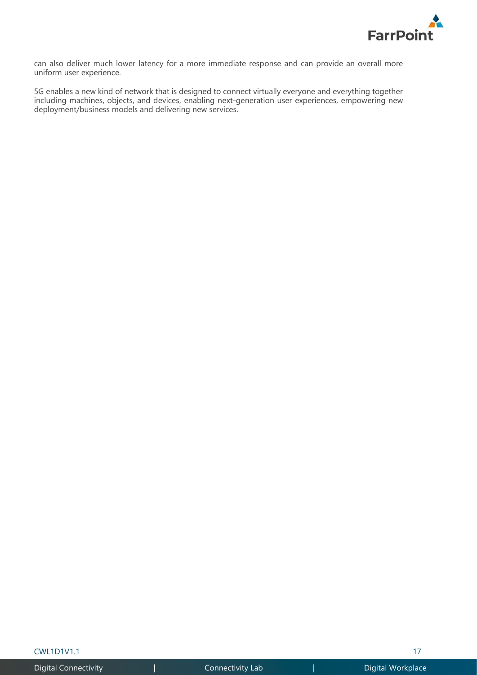

can also deliver much lower latency for a more immediate response and can provide an overall more uniform user experience.

5G enables a new kind of network that is designed to connect virtually everyone and everything together including machines, objects, and devices, enabling next-generation user experiences, empowering new deployment/business models and delivering new services.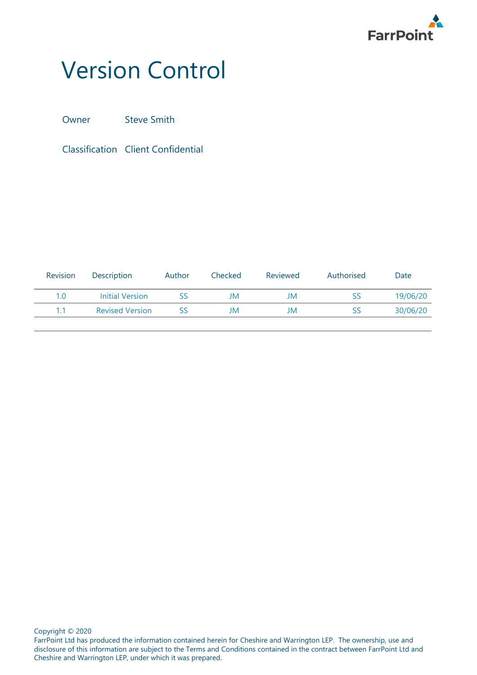

## Version Control

Owner Steve Smith

Classification Client Confidential

| <b>Revision</b> | <b>Description</b>     | Author | Checked | Reviewed | Authorised | Date     |
|-----------------|------------------------|--------|---------|----------|------------|----------|
| 1.0             | <b>Initial Version</b> | SS     | JM      | JM       | SS         | 19/06/20 |
|                 | <b>Revised Version</b> | SS     | JM      | JM       | SS         | 30/06/20 |
|                 |                        |        |         |          |            |          |

Copyright © 2020

FarrPoint Ltd has produced the information contained herein for Cheshire and Warrington LEP. The ownership, use and disclosure of this information are subject to the Terms and Conditions contained in the contract between FarrPoint Ltd and Cheshire and Warrington LEP, under which it was prepared.